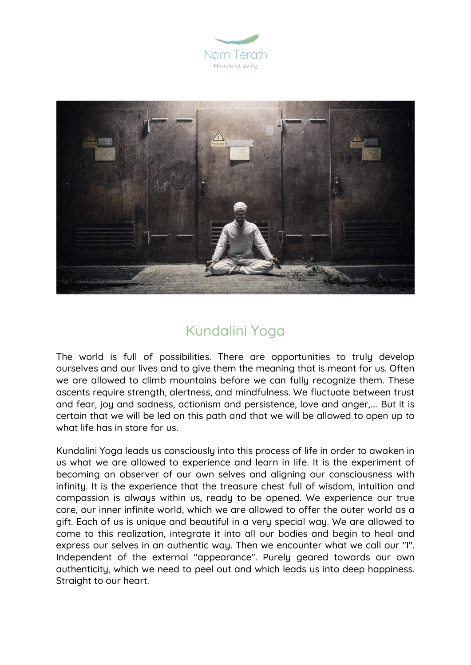



## Kundalini Yoga

The world is full of possibilities. There are opportunities to truly develop ourselves and our lives and to give them the meaning that is meant for us. Often we are allowed to climb mountains before we can fully recognize them. These ascents require strength, alertness, and mindfulness. We fluctuate between trust and fear, joy and sadness, actionism and persistence, love and anger,…. But it is certain that we will be led on this path and that we will be allowed to open up to what life has in store for us.

Kundalini Yoga leads us consciously into this process of life in order to awaken in us what we are allowed to experience and learn in life. It is the experiment of becoming an observer of our own selves and aligning our consciousness with infinity. It is the experience that the treasure chest full of wisdom, intuition and compassion is always within us, ready to be opened. We experience our true core, our inner infinite world, which we are allowed to offer the outer world as a gift. Each of us is unique and beautiful in a very special way. We are allowed to come to this realization, integrate it into all our bodies and begin to heal and express our selves in an authentic way. Then we encounter what we call our "I". Independent of the external "appearance". Purely geared towards our own authenticity, which we need to peel out and which leads us into deep happiness. Straight to our heart.